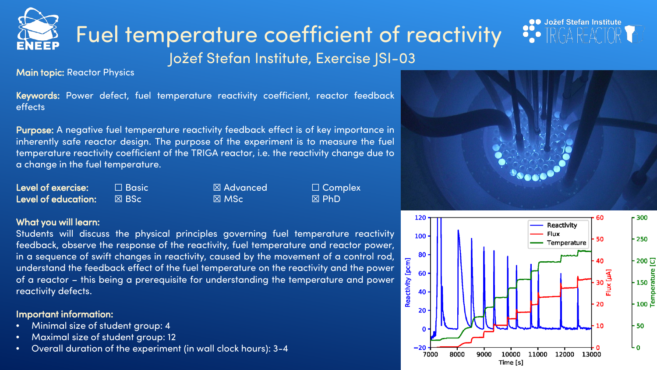# Fuel temperature coefficient of reactivity

Jožef Stefan Institute, Exercise JSI-03

Main topic: Reactor Physics

Keywords: Power defect, fuel temperature reactivity coefficient, reactor feedback effects

Purpose: A negative fuel temperature reactivity feedback effect is of key importance in inherently safe reactor design. The purpose of the experiment is to measure the fuel temperature reactivity coefficient of the TRIGA reactor, i.e. the reactivity change due to a change in the fuel temperature.

Level of exercise: ☐ Basic ☒ Advanced ☐ Complex Level of education: ☒ BSc ☒ MSc ☒ PhD

### What you will learn:

Students will discuss the physical principles governing fuel temperature reactivity feedback, observe the response of the reactivity, fuel temperature and reactor power, in a sequence of swift changes in reactivity, caused by the movement of a control rod, understand the feedback effect of the fuel temperature on the reactivity and the power of a reactor – this being a prerequisite for understanding the temperature and power reactivity defects.

### Important information:

- Minimal size of student group: 4
- Maximal size of student group: 12
- Overall duration of the experiment (in wall clock hours): 3-4